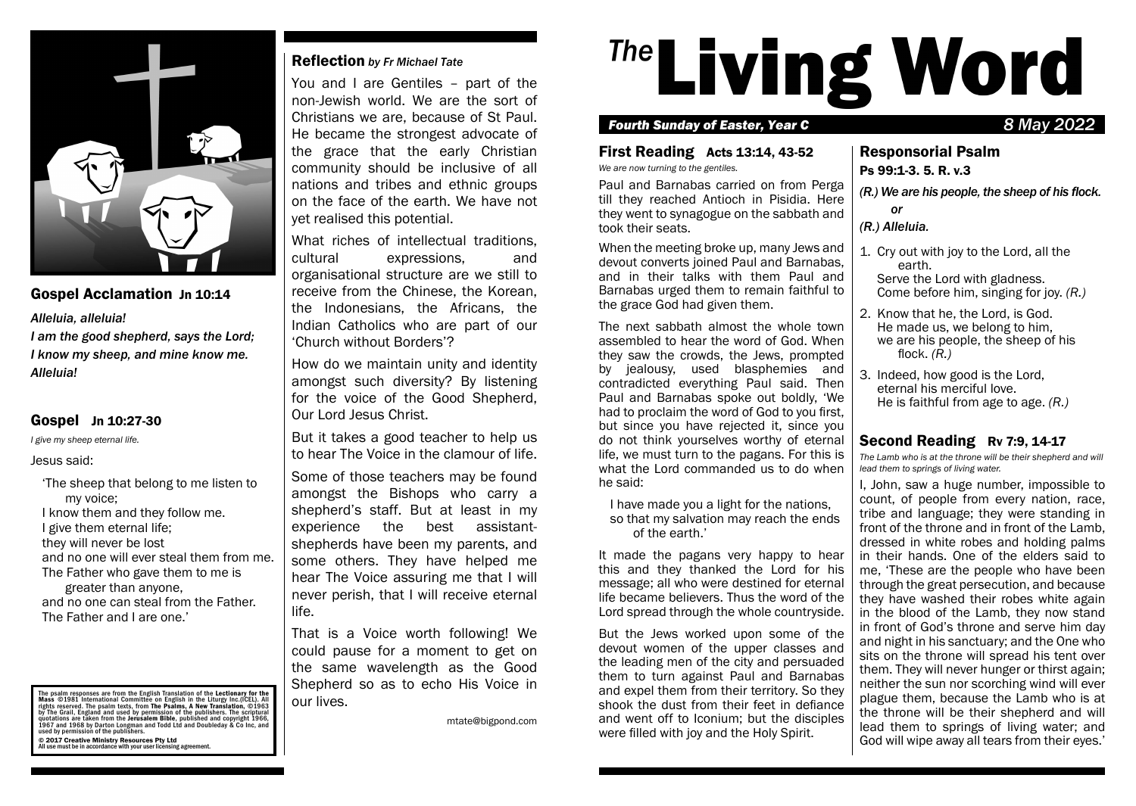

### Gospel Acclamation Jn 10:14

*Alleluia, alleluia! I am the good shepherd, says the Lord; I know my sheep, and mine know me. Alleluia!*

### Gospel Jn 10:27-30

*I give my sheep eternal life.*

#### Jesus said:

'The sheep that belong to me listen to my voice; I know them and they follow me. I give them eternal life; they will never be lost and no one will ever steal them from me. The Father who gave them to me is greater than anyone, and no one can steal from the Father. The Father and I are one.'

The psalm responses are from the English Translation of the Lectionary for the<br>Mass ©1981 International Committee on English in the Liturgy Inc.(ICEL). All rights reserved. The psalm texts, from The Psalms, A New Transilationi, ©1963<br>by The Grail, England and used by permission of the publishers. The scriptural<br>quotations are taken from the Jerusalem Bible, published and copy © 2017 Creative Ministry Resources Pty Ltd All use must be in accordance with your user licensing agreement.

#### Reflection *by Fr Michael Tate*

You and I are Gentiles – part of the non-Jewish world. We are the sort of Christians we are, because of St Paul. He became the strongest advocate of the grace that the early Christian community should be inclusive of all nations and tribes and ethnic groups on the face of the earth. We have not yet realised this potential.

What riches of intellectual traditions, cultural expressions, and organisational structure are we still to receive from the Chinese, the Korean, the Indonesians, the Africans, the Indian Catholics who are part of our 'Church without Borders'?

How do we maintain unity and identity amongst such diversity? By listening for the voice of the Good Shepherd, Our Lord Jesus Christ.

But it takes a good teacher to help us to hear The Voice in the clamour of life.

Some of those teachers may be found amongst the Bishops who carry a shepherd's staff. But at least in my experience the best assistantshepherds have been my parents, and some others. They have helped me hear The Voice assuring me that I will never perish, that I will receive eternal life.

That is a Voice worth following! We could pause for a moment to get on the same wavelength as the Good Shepherd so as to echo His Voice in our lives.

mtate@bigpond.com

# <sup>The</sup> Living Word

#### *Fourth Sunday of Easter, Year C 8 May 2022*

#### First Reading Acts 13:14, 43-52 *We are now turning to the gentiles.*

Paul and Barnabas carried on from Perga till they reached Antioch in Pisidia. Here they went to synagogue on the sabbath and took their seats.

When the meeting broke up, many Jews and devout converts joined Paul and Barnabas, and in their talks with them Paul and Barnabas urged them to remain faithful to the grace God had given them.

The next sabbath almost the whole town assembled to hear the word of God. When they saw the crowds, the Jews, prompted by jealousy, used blasphemies and contradicted everything Paul said. Then Paul and Barnabas spoke out boldly, 'We had to proclaim the word of God to you first, but since you have rejected it, since you do not think yourselves worthy of eternal life, we must turn to the pagans. For this is what the Lord commanded us to do when he said:

I have made you a light for the nations, so that my salvation may reach the ends of the earth.'

It made the pagans very happy to hear this and they thanked the Lord for his message; all who were destined for eternal life became believers. Thus the word of the Lord spread through the whole countryside.

But the Jews worked upon some of the devout women of the upper classes and the leading men of the city and persuaded them to turn against Paul and Barnabas and expel them from their territory. So they shook the dust from their feet in defiance and went off to Iconium; but the disciples were filled with joy and the Holy Spirit.

#### Ps 99:1-3. 5. R. v.3 *(R.) We are his people, the sheep of his flock. or*

Responsorial Psalm

*(R.) Alleluia.*

- 1. Cry out with joy to the Lord, all the earth. Serve the Lord with gladness. Come before him, singing for joy. *(R.)*
- 2. Know that he, the Lord, is God. He made us, we belong to him, we are his people, the sheep of his flock. *(R.)*
- 3. Indeed, how good is the Lord, eternal his merciful love. He is faithful from age to age. *(R.)*

## Second Reading Rv 7:9, 14-17

*The Lamb who is at the throne will be their shepherd and will lead them to springs of living water.*

I, John, saw a huge number, impossible to count, of people from every nation, race, tribe and language; they were standing in front of the throne and in front of the Lamb, dressed in white robes and holding palms in their hands. One of the elders said to me, 'These are the people who have been through the great persecution, and because they have washed their robes white again in the blood of the Lamb, they now stand in front of God's throne and serve him day and night in his sanctuary; and the One who sits on the throne will spread his tent over them. They will never hunger or thirst again; neither the sun nor scorching wind will ever plague them, because the Lamb who is at the throne will be their shepherd and will lead them to springs of living water; and God will wipe away all tears from their eyes.'